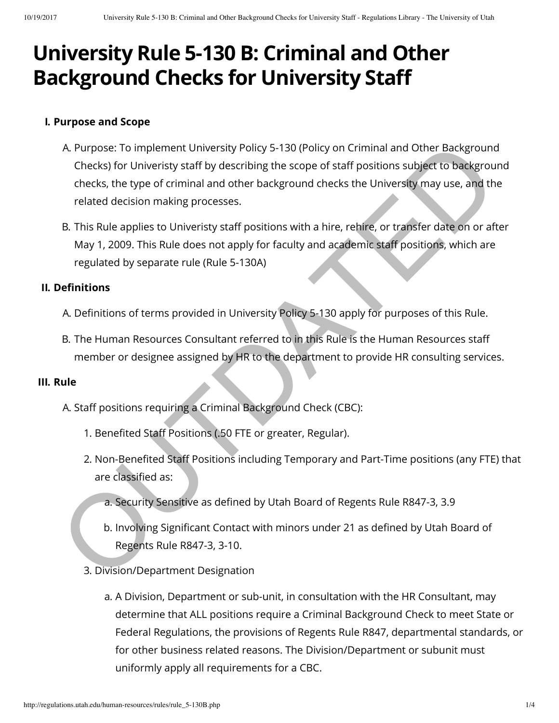# **University Rule 5-130 B: Criminal and Other Background Checks for University Sta**

## **I. Purpose and Scope**

- A. Purpose: To implement University Policy 5-130 (Policy on Criminal and Other Background Checks) for Univeristy staff by describing the scope of staff positions subject to background checks, the type of criminal and other background checks the University may use, and the related decision making processes. A Purpose: To implement University Policy 5-130 (Policy on Criminal and Other Background<br>
Checks) for University staff by describing the scope of staff positions subject to background<br>
checks, the type of criminal and othe
- B. This Rule applies to Univeristy staff positions with a hire, rehire, or transfer date on or after May 1, 2009. This Rule does not apply for faculty and academic staff positions, which are regulated by separate rule (Rule 5-130A)

### **II.** Definitions

- A. Definitions of terms provided in University Policy 5-130 apply for purposes of this Rule.
- B. The Human Resources Consultant referred to in this Rule is the Human Resources sta member or designee assigned by HR to the department to provide HR consulting services.

### **III. Rule**

- A. Staff positions requiring a Criminal Background Check (CBC):
	- 1. Benefited Staff Positions (.50 FTE or greater, Regular).
	- 2. Non-Benefited Staff Positions including Temporary and Part-Time positions (any FTE) that are classified as:
		- a. Security Sensitive as defined by Utah Board of Regents Rule R847-3, 3.9
		- b. Involving Significant Contact with minors under 21 as defined by Utah Board of Regents Rule R847-3, 3-10.
	- 3. Division/Department Designation
		- a. A Division, Department or sub-unit, in consultation with the HR Consultant, may determine that ALL positions require a Criminal Background Check to meet State or Federal Regulations, the provisions of Regents Rule R847, departmental standards, or for other business related reasons. The Division/Department or subunit must uniformly apply all requirements for a CBC.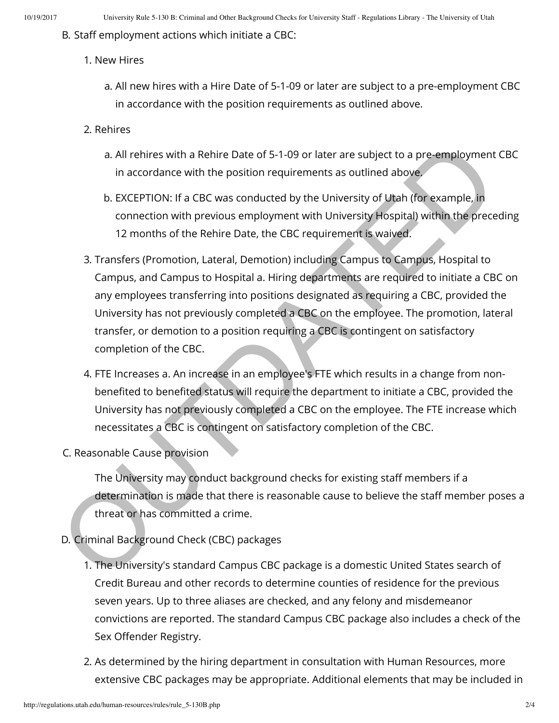B. Staff employment actions which initiate a CBC:

- 1. New Hires
	- a. All new hires with a Hire Date of 5-1-09 or later are subject to a pre-employment CBC in accordance with the position requirements as outlined above.
- 2. Rehires
	- a. All rehires with a Rehire Date of 5-1-09 or later are subject to a pre-employment CBC in accordance with the position requirements as outlined above.
	- b. EXCEPTION: If a CBC was conducted by the University of Utah (for example, in connection with previous employment with University Hospital) within the preceding 12 months of the Rehire Date, the CBC requirement is waived.
- 3. Transfers (Promotion, Lateral, Demotion) including Campus to Campus, Hospital to Campus, and Campus to Hospital a. Hiring departments are required to initiate a CBC on any employees transferring into positions designated as requiring a CBC, provided the University has not previously completed a CBC on the employee. The promotion, lateral transfer, or demotion to a position requiring a CBC is contingent on satisfactory completion of the CBC. a. All rehires with a Rehire Date of 5-1-09 or later are subject to a pre-employment<br>in accordance with the position requirements as outlined above,<br>b. EXCEPTION: If a CBC was conducted by the University of Utah (for examp
	- 4. FTE Increases a. An increase in an employee's FTE which results in a change from nonbenefited to benefited status will require the department to initiate a CBC, provided the University has not previously completed a CBC on the employee. The FTE increase which necessitates a CBC is contingent on satisfactory completion of the CBC.
- C. Reasonable Cause provision

The University may conduct background checks for existing staff members if a determination is made that there is reasonable cause to believe the staff member poses a threat or has committed a crime.

- D. Criminal Background Check (CBC) packages
	- 1. The University's standard Campus CBC package is a domestic United States search of Credit Bureau and other records to determine counties of residence for the previous seven years. Up to three aliases are checked, and any felony and misdemeanor convictions are reported. The standard Campus CBC package also includes a check of the Sex Offender Registry.
	- 2. As determined by the hiring department in consultation with Human Resources, more extensive CBC packages may be appropriate. Additional elements that may be included in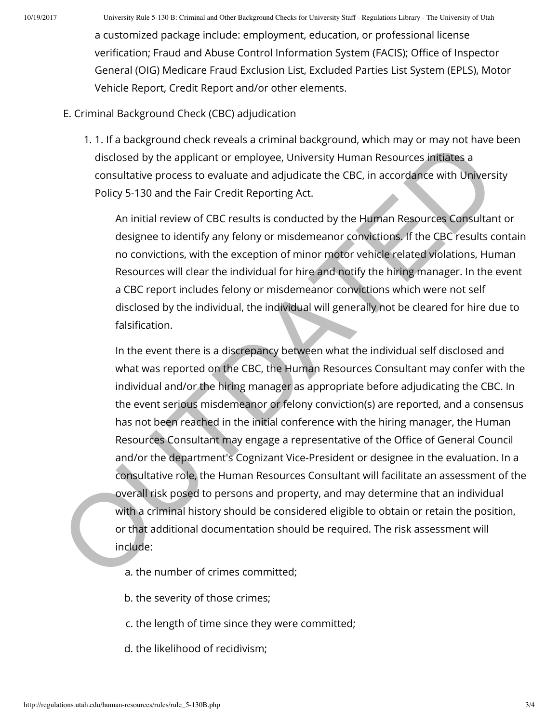10/19/2017 University Rule 5-130 B: Criminal and Other Background Checks for University Staff - Regulations Library - The University of Utah

a customized package include: employment, education, or professional license verification; Fraud and Abuse Control Information System (FACIS); Office of Inspector General (OIG) Medicare Fraud Exclusion List, Excluded Parties List System (EPLS), Motor Vehicle Report, Credit Report and/or other elements.

- E. Criminal Background Check (CBC) adjudication
	- 1. 1. If a background check reveals a criminal background, which may or may not have been disclosed by the applicant or employee, University Human Resources initiates a consultative process to evaluate and adjudicate the CBC, in accordance with University Policy 5-130 and the Fair Credit Reporting Act.

An initial review of CBC results is conducted by the Human Resources Consultant or designee to identify any felony or misdemeanor convictions. If the CBC results contain no convictions, with the exception of minor motor vehicle related violations, Human Resources will clear the individual for hire and notify the hiring manager. In the event a CBC report includes felony or misdemeanor convictions which were not self disclosed by the individual, the individual will generally not be cleared for hire due to falsification.

In the event there is a discrepancy between what the individual self disclosed and what was reported on the CBC, the Human Resources Consultant may confer with the individual and/or the hiring manager as appropriate before adjudicating the CBC. In the event serious misdemeanor or felony conviction(s) are reported, and a consensus has not been reached in the initial conference with the hiring manager, the Human Resources Consultant may engage a representative of the Office of General Council and/or the department's Cognizant Vice-President or designee in the evaluation. In a consultative role, the Human Resources Consultant will facilitate an assessment of the overall risk posed to persons and property, and may determine that an individual with a criminal history should be considered eligible to obtain or retain the position, or that additional documentation should be required. The risk assessment will include: The accessor of the mind acesary of the Human Resources initiates and the disclosed by the applicant or employe, University Human Resources initiates a consultative process to evaluate and adjudicate the CBC, in accordance

- a. the number of crimes committed;
- b. the severity of those crimes;
- c. the length of time since they were committed;
- d. the likelihood of recidivism;